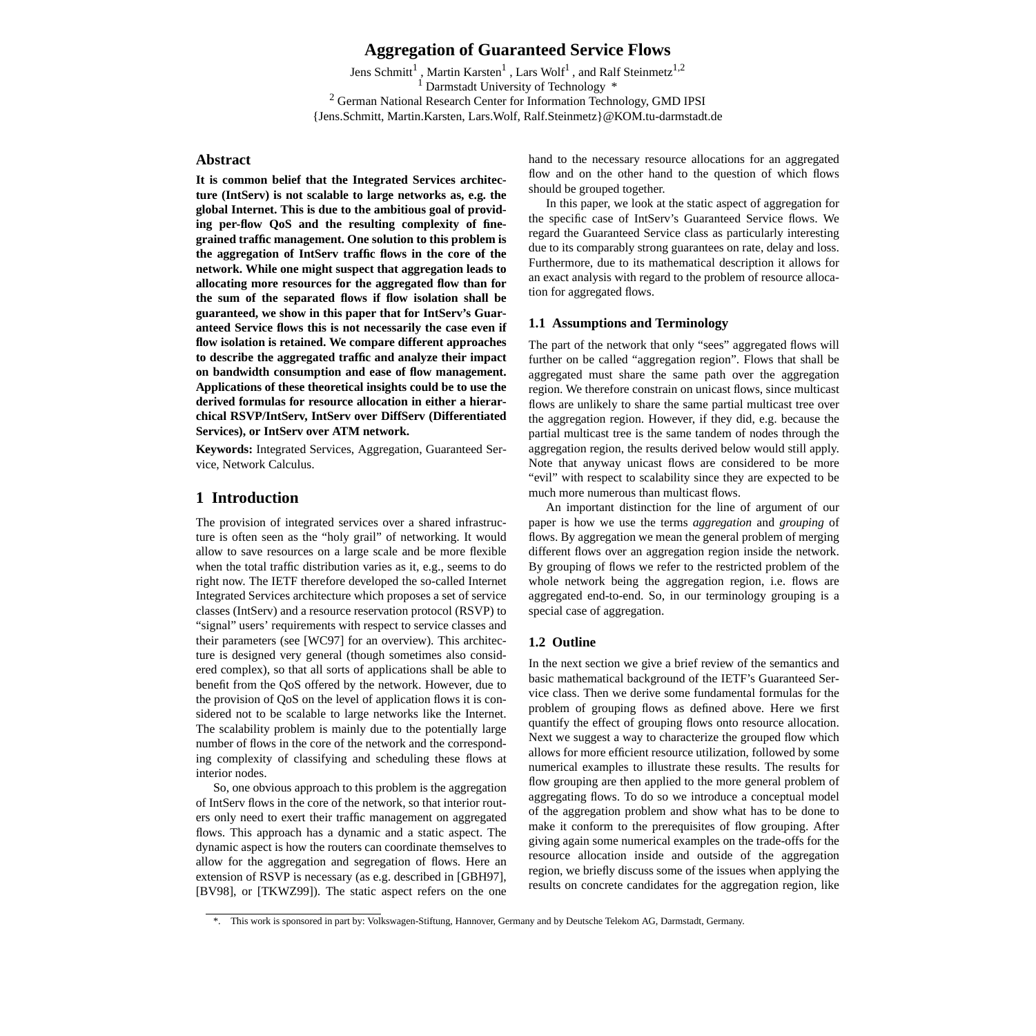# **Aggregation of Guaranteed Service Flows**

Jens Schmitt<sup>1</sup>, Martin Karsten<sup>1</sup>, Lars Wolf<sup>1</sup>, and Ralf Steinmetz<sup>1,2</sup> <sup>1</sup> Darmstadt University of Technology \* <sup>2</sup> German National Research Center for Information Technology, GMD IPSI {Jens.Schmitt, Martin.Karsten, Lars.Wolf, Ralf.Steinmetz}@KOM.tu-darmstadt.de

### **Abstract**

**It is common belief that the Integrated Services architecture (IntServ) is not scalable to large networks as, e.g. the global Internet. This is due to the ambitious goal of providing per-flow QoS and the resulting complexity of finegrained traffic management. One solution to this problem is the aggregation of IntServ traffic flows in the core of the network. While one might suspect that aggregation leads to allocating more resources for the aggregated flow than for the sum of the separated flows if flow isolation shall be guaranteed, we show in this paper that for IntServ's Guaranteed Service flows this is not necessarily the case even if flow isolation is retained. We compare different approaches to describe the aggregated traffic and analyze their impact on bandwidth consumption and ease of flow management. Applications of these theoretical insights could be to use the derived formulas for resource allocation in either a hierarchical RSVP/IntServ, IntServ over DiffServ (Differentiated Services), or IntServ over ATM network.**

**Keywords:** Integrated Services, Aggregation, Guaranteed Service, Network Calculus.

## **1 Introduction**

The provision of integrated services over a shared infrastructure is often seen as the "holy grail" of networking. It would allow to save resources on a large scale and be more flexible when the total traffic distribution varies as it, e.g., seems to do right now. The IETF therefore developed the so-called Internet Integrated Services architecture which proposes a set of service classes (IntServ) and a resource reservation protocol (RSVP) to "signal" users' requirements with respect to service classes and their parameters (see [WC97] for an overview). This architecture is designed very general (though sometimes also considered complex), so that all sorts of applications shall be able to benefit from the QoS offered by the network. However, due to the provision of QoS on the level of application flows it is considered not to be scalable to large networks like the Internet. The scalability problem is mainly due to the potentially large number of flows in the core of the network and the corresponding complexity of classifying and scheduling these flows at interior nodes.

So, one obvious approach to this problem is the aggregation of IntServ flows in the core of the network, so that interior routers only need to exert their traffic management on aggregated flows. This approach has a dynamic and a static aspect. The dynamic aspect is how the routers can coordinate themselves to allow for the aggregation and segregation of flows. Here an extension of RSVP is necessary (as e.g. described in [GBH97], [BV98], or [TKWZ99]). The static aspect refers on the one hand to the necessary resource allocations for an aggregated flow and on the other hand to the question of which flows should be grouped together.

In this paper, we look at the static aspect of aggregation for the specific case of IntServ's Guaranteed Service flows. We regard the Guaranteed Service class as particularly interesting due to its comparably strong guarantees on rate, delay and loss. Furthermore, due to its mathematical description it allows for an exact analysis with regard to the problem of resource allocation for aggregated flows.

#### **1.1 Assumptions and Terminology**

The part of the network that only "sees" aggregated flows will further on be called "aggregation region". Flows that shall be aggregated must share the same path over the aggregation region. We therefore constrain on unicast flows, since multicast flows are unlikely to share the same partial multicast tree over the aggregation region. However, if they did, e.g. because the partial multicast tree is the same tandem of nodes through the aggregation region, the results derived below would still apply. Note that anyway unicast flows are considered to be more "evil" with respect to scalability since they are expected to be much more numerous than multicast flows.

An important distinction for the line of argument of our paper is how we use the terms *aggregation* and *grouping* of flows. By aggregation we mean the general problem of merging different flows over an aggregation region inside the network. By grouping of flows we refer to the restricted problem of the whole network being the aggregation region, i.e. flows are aggregated end-to-end. So, in our terminology grouping is a special case of aggregation.

#### **1.2 Outline**

In the next section we give a brief review of the semantics and basic mathematical background of the IETF's Guaranteed Service class. Then we derive some fundamental formulas for the problem of grouping flows as defined above. Here we first quantify the effect of grouping flows onto resource allocation. Next we suggest a way to characterize the grouped flow which allows for more efficient resource utilization, followed by some numerical examples to illustrate these results. The results for flow grouping are then applied to the more general problem of aggregating flows. To do so we introduce a conceptual model of the aggregation problem and show what has to be done to make it conform to the prerequisites of flow grouping. After giving again some numerical examples on the trade-offs for the resource allocation inside and outside of the aggregation region, we briefly discuss some of the issues when applying the results on concrete candidates for the aggregation region, like

<sup>\*.</sup> This work is sponsored in part by: Volkswagen-Stiftung, Hannover, Germany and by Deutsche Telekom AG, Darmstadt, Germany.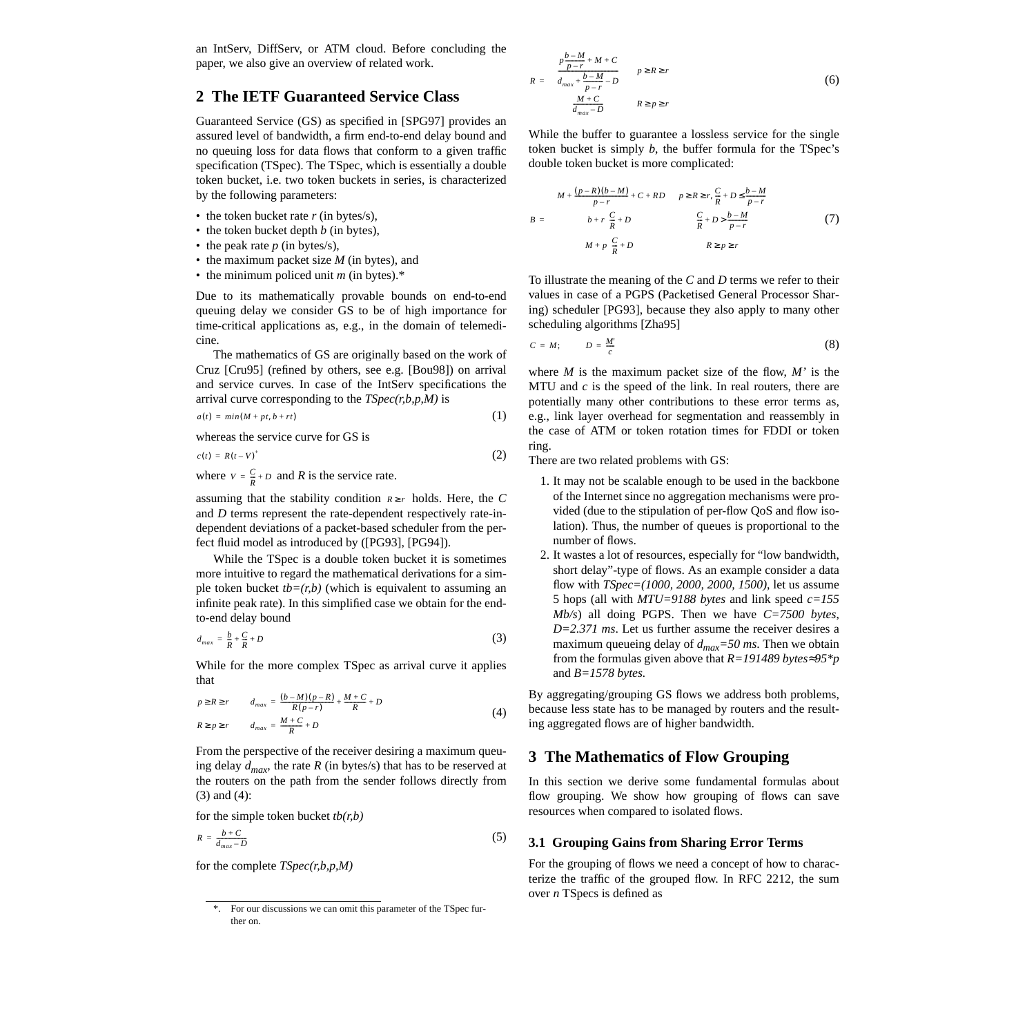an IntServ, DiffServ, or ATM cloud. Before concluding the paper, we also give an overview of related work.

## **2 The IETF Guaranteed Service Class**

Guaranteed Service (GS) as specified in [SPG97] provides an assured level of bandwidth, a firm end-to-end delay bound and no queuing loss for data flows that conform to a given traffic specification (TSpec). The TSpec, which is essentially a double token bucket, i.e. two token buckets in series, is characterized by the following parameters:

- the token bucket rate  $r$  (in bytes/s),
- the token bucket depth *b* (in bytes),
- the peak rate *p* (in bytes/s).
- the maximum packet size *M* (in bytes), and
- the minimum policed unit *m* (in bytes).\*

Due to its mathematically provable bounds on end-to-end queuing delay we consider GS to be of high importance for time-critical applications as, e.g., in the domain of telemedicine.

The mathematics of GS are originally based on the work of Cruz [Cru95] (refined by others, see e.g. [Bou98]) on arrival and service curves. In case of the IntServ specifications the arrival curve corresponding to the *TSpec(r,b,p,M)* is

$$
a(t) = min(M + pt, b + rt) \tag{1}
$$

whereas the service curve for GS is

$$
c(t) = R(t - V)^{+}
$$
\n(2)

where  $V = \frac{C}{R} + D$  and *R* is the service rate.

assuming that the stability condition  $R \ge r$  holds. Here, the C and *D* terms represent the rate-dependent respectively rate-independent deviations of a packet-based scheduler from the perfect fluid model as introduced by ([PG93], [PG94]).

While the TSpec is a double token bucket it is sometimes more intuitive to regard the mathematical derivations for a simple token bucket  $tb = (r,b)$  (which is equivalent to assuming an infinite peak rate). In this simplified case we obtain for the endto-end delay bound

$$
d_{max} = \frac{b}{R} + \frac{C}{R} + D \tag{3}
$$

While for the more complex TSpec as arrival curve it applies that

$$
p \ge R \ge r \qquad d_{max} = \frac{(b - M)(p - R)}{R(p - r)} + \frac{M + C}{R} + D
$$
  

$$
R \ge p \ge r \qquad d_{max} = \frac{M + C}{R} + D
$$
 (4)

From the perspective of the receiver desiring a maximum queuing delay  $d_{max}$ , the rate *R* (in bytes/s) that has to be reserved at the routers on the path from the sender follows directly from (3) and (4):

for the simple token bucket 
$$
tb(r, b)
$$

$$
R = \frac{b + C}{d_{max} - D} \tag{5}
$$

for the complete *TSpec(r,b,p,M)*

$$
R = \begin{cases} \n\frac{p \frac{b-M}{p-r} + M + C}{\frac{p-m}{p-r} - D} & p \ge R \ge r \\
\frac{M + C}{d_{max} - D} & R \ge p \ge r\n\end{cases} \tag{6}
$$

While the buffer to guarantee a lossless service for the single token bucket is simply *b*, the buffer formula for the TSpec's double token bucket is more complicated:

$$
B = \begin{cases} M + \frac{(p-R)(b-M)}{p-r} + C + RD & p \ge R \ge r, \frac{C}{R} + D \le \frac{b-M}{p-r} \\ b + r\left(\frac{C}{R} + D\right) & \frac{C}{R} + D > \frac{b-M}{p-r} \\ M + p\left(\frac{C}{R} + D\right) & R \ge p \ge r \end{cases} \tag{7}
$$

To illustrate the meaning of the *C* and *D* terms we refer to their values in case of a PGPS (Packetised General Processor Sharing) scheduler [PG93], because they also apply to many other scheduling algorithms [Zha95]

$$
C = M; \qquad D = \frac{M'}{c} \tag{8}
$$

where  $M$  is the maximum packet size of the flow,  $M'$  is the MTU and *c* is the speed of the link. In real routers, there are potentially many other contributions to these error terms as, e.g., link layer overhead for segmentation and reassembly in the case of ATM or token rotation times for FDDI or token ring.

There are two related problems with GS:

 $\mathbf{r}$ 

- 1. It may not be scalable enough to be used in the backbone of the Internet since no aggregation mechanisms were provided (due to the stipulation of per-flow QoS and flow isolation). Thus, the number of queues is proportional to the number of flows.
- 2. It wastes a lot of resources, especially for "low bandwidth, short delay"-type of flows. As an example consider a data flow with *TSpec=(1000, 2000, 2000, 1500)*, let us assume 5 hops (all with *MTU=9188 bytes* and link speed *c=155 Mb/s*) all doing PGPS. Then we have *C=7500 bytes*, *D=2.371 ms*. Let us further assume the receiver desires a maximum queueing delay of *dmax=50 ms*. Then we obtain from the formulas given above that *R=191489 bytes*≈*95\*p* and *B=1578 bytes.*

By aggregating/grouping GS flows we address both problems, because less state has to be managed by routers and the resulting aggregated flows are of higher bandwidth.

### **3 The Mathematics of Flow Grouping**

In this section we derive some fundamental formulas about flow grouping. We show how grouping of flows can save resources when compared to isolated flows.

#### **3.1 Grouping Gains from Sharing Error Terms**

For the grouping of flows we need a concept of how to characterize the traffic of the grouped flow. In RFC 2212, the sum over *n* TSpecs is defined as

For our discussions we can omit this parameter of the TSpec further on.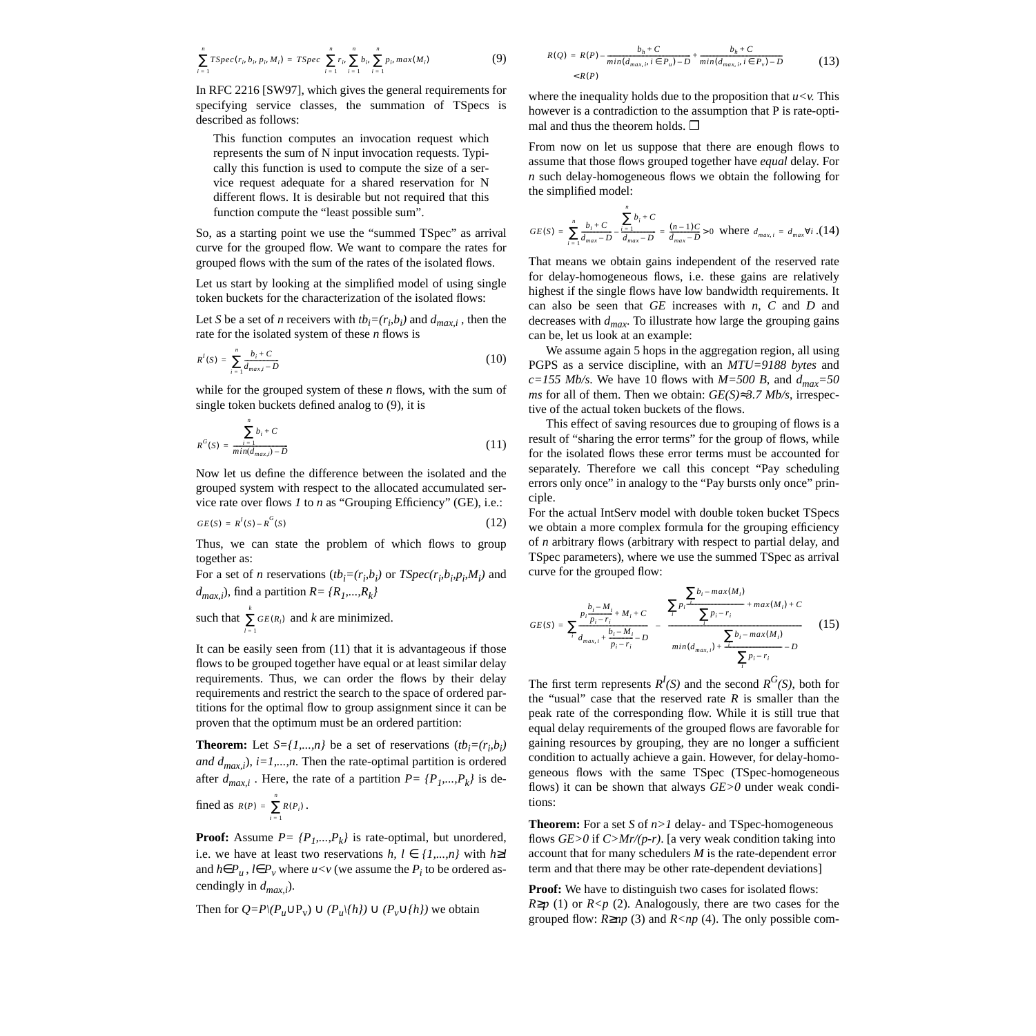$$
\sum_{i=1}^{n} TSpec(r_i, b_i, p_i, M_i) = TSpec\left(\sum_{i=1}^{n} r_i, \sum_{i=1}^{n} b_i, \sum_{i=1}^{n} p_i, max(M_i)\right)
$$
(9)

In RFC 2216 [SW97], which gives the general requirements for specifying service classes, the summation of TSpecs is described as follows:

This function computes an invocation request which represents the sum of N input invocation requests. Typically this function is used to compute the size of a service request adequate for a shared reservation for N different flows. It is desirable but not required that this function compute the "least possible sum".

So, as a starting point we use the "summed TSpec" as arrival curve for the grouped flow. We want to compare the rates for grouped flows with the sum of the rates of the isolated flows.

Let us start by looking at the simplified model of using single token buckets for the characterization of the isolated flows:

Let *S* be a set of *n* receivers with  $tb_i = (r_i, b_i)$  and  $d_{max,i}$ , then the rate for the isolated system of these *n* flows is

$$
R^{I}(S) = \sum_{i=1}^{n} \frac{b_{i} + C}{d_{max,i} - D}
$$
 (10)

while for the grouped system of these *n* flows, with the sum of single token buckets defined analog to (9), it is

$$
R^{G}(S) = \frac{\sum_{i=1}^{n} b_i + C}{\min(d_{max,i}) - D}
$$
\n(11)

Now let us define the difference between the isolated and the grouped system with respect to the allocated accumulated service rate over flows *1* to *n* as "Grouping Efficiency" (GE), i.e.:

$$
GE(S) = RI(S) - RG(S)
$$
\n(12)

Thus, we can state the problem of which flows to group together as:

For a set of *n* reservations  $(tb_i=(r_i, b_i)$  or  $TSpec(r_i, b_i, p_i, M_i)$  and  $d_{max,i}$ , find a partition  $R = \{R_1, ..., R_k\}$ 

such that  $\sum_{i=1}^{k} GE(R_i)$  and *k* are minimized. *l* = 1

It can be easily seen from (11) that it is advantageous if those flows to be grouped together have equal or at least similar delay requirements. Thus, we can order the flows by their delay requirements and restrict the search to the space of ordered partitions for the optimal flow to group assignment since it can be proven that the optimum must be an ordered partition:

**Theorem:** Let  $S = \{1, ..., n\}$  be a set of reservations  $(tb_i = (r_i, b_i))$ *and*  $d_{max,i}$ *,*  $i=1,...,n$ *.* Then the rate-optimal partition is ordered after  $d_{max,i}$ . Here, the rate of a partition  $P = {P_1, ..., P_k}$  is de*n*

$$
~\text{find as}~R(P) = \sum_{i=1}^{R(P_i)}.
$$

**Proof:** Assume  $P = \{P_1, ..., P_k\}$  is rate-optimal, but unordered, i.e. we have at least two reservations  $h, l \in \{1,...,n\}$  with  $h \geq l$ and  $h \in P_u$ ,  $l \in P_v$  where  $u \lt v$  (we assume the  $P_i$  to be ordered ascendingly in  $d_{max}$ *i*).

Then for 
$$
Q = P \setminus (P_u \cup P_v) \cup (P_u \setminus \{h\}) \cup (P_v \cup \{h\})
$$
 we obtain

$$
R(Q) = R(P) - \frac{b_h + C}{\min(d_{\max, i}, i \in P_u) - D} + \frac{b_h + C}{\min(d_{\max, i}, i \in P_v) - D}
$$
(13)

where the inequality holds due to the proposition that  $u < v$ . This however is a contradiction to the assumption that P is rate-optimal and thus the theorem holds.  $\Box$ 

From now on let us suppose that there are enough flows to assume that those flows grouped together have *equal* delay. For *n* such delay-homogeneous flows we obtain the following for the simplified model:

$$
GE(S) = \sum_{i=1}^{n} \frac{b_i + C}{d_{max} - D} - \frac{\sum_{i=1}^{n} b_i + C}{d_{max} - D} = \frac{(n-1)C}{d_{max} - D} > 0
$$
 where  $d_{max, i} = d_{max} \forall i$ . (14)

That means we obtain gains independent of the reserved rate for delay-homogeneous flows, i.e. these gains are relatively highest if the single flows have low bandwidth requirements. It can also be seen that *GE* increases with *n*, *C* and *D* and decreases with *dmax*. To illustrate how large the grouping gains can be, let us look at an example:

We assume again 5 hops in the aggregation region, all using PGPS as a service discipline, with an *MTU=9188 bytes* and  $c=155$  *Mb/s*. We have 10 flows with  $M=500$  B, and  $d_{max}=50$ *ms* for all of them. Then we obtain: *GE(S)*≈*3.7 Mb/s*, irrespective of the actual token buckets of the flows.

This effect of saving resources due to grouping of flows is a result of "sharing the error terms" for the group of flows, while for the isolated flows these error terms must be accounted for separately. Therefore we call this concept "Pay scheduling errors only once" in analogy to the "Pay bursts only once" principle.

For the actual IntServ model with double token bucket TSpecs we obtain a more complex formula for the grouping efficiency of *n* arbitrary flows (arbitrary with respect to partial delay, and TSpec parameters), where we use the summed TSpec as arrival curve for the grouped flow:

$$
GE(S) = \sum_{i} \frac{p_i \frac{b_i - M_i}{p_i - r_i} + M_i + C}{d_{max,i} + \frac{b_i - M_i}{p_i - r_i} - D} - \frac{\frac{\sum_{i} b_i - max(M_i)}{p_i - r_i} + max(M_i) + C}{\frac{\sum_{i} b_i - max(M_i)}{min(d_{max,i}) + \frac{\sum_{i} b_i - max(M_i)}{p_i - r_i} - D}}
$$
(15)

The first term represents  $R^I(S)$  and the second  $R^G(S)$ , both for the "usual" case that the reserved rate  $R$  is smaller than the peak rate of the corresponding flow. While it is still true that equal delay requirements of the grouped flows are favorable for gaining resources by grouping, they are no longer a sufficient condition to actually achieve a gain. However, for delay-homogeneous flows with the same TSpec (TSpec-homogeneous flows) it can be shown that always *GE>0* under weak conditions:

**Theorem:** For a set *S* of *n>1* delay- and TSpec-homogeneous flows *GE>0* if *C>Mr/(p-r)*. [a very weak condition taking into account that for many schedulers *M* is the rate-dependent error term and that there may be other rate-dependent deviations]

**Proof:** We have to distinguish two cases for isolated flows:  $R \geq p(1)$  or  $R \leq p(2)$ . Analogously, there are two cases for the grouped flow: *R*≥*np* (3) and *R<np* (4). The only possible com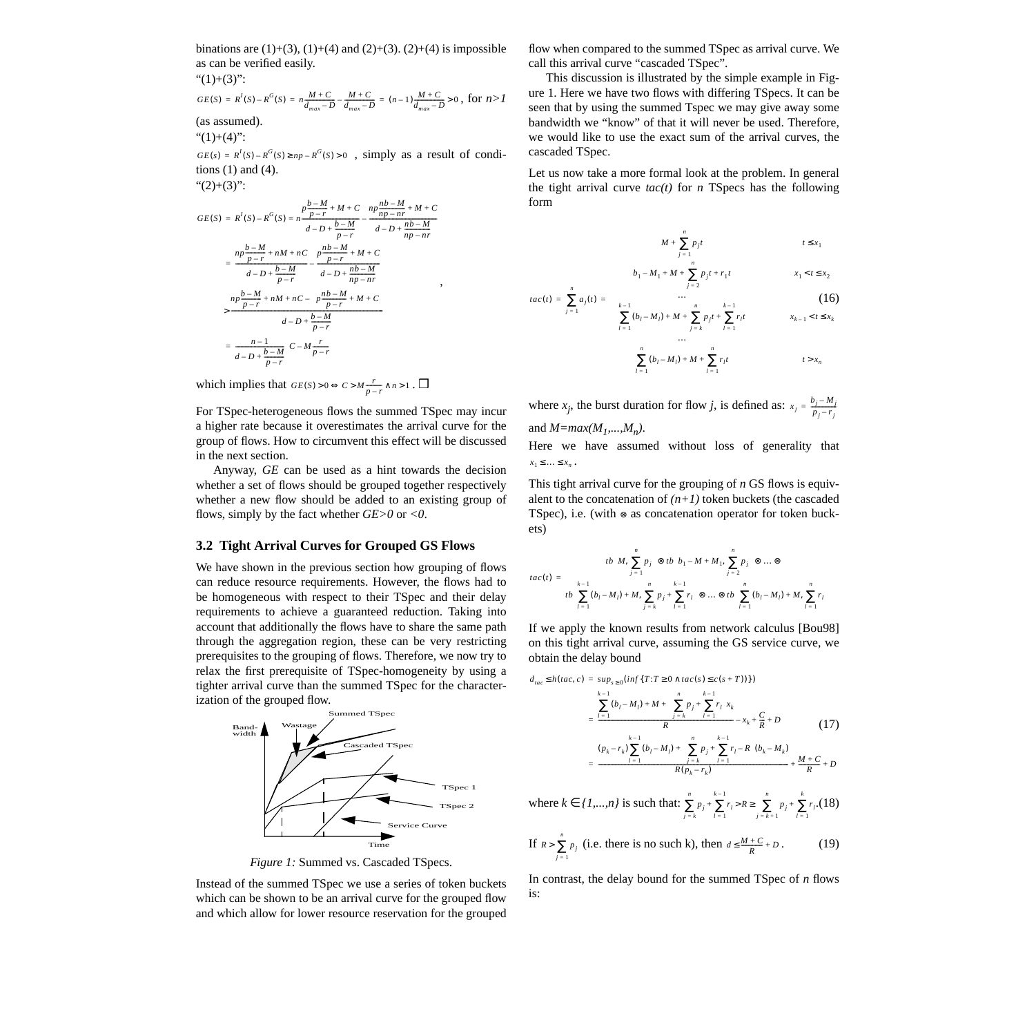binations are  $(1)+(3)$ ,  $(1)+(4)$  and  $(2)+(3)$ .  $(2)+(4)$  is impossible as can be verified easily.

$$
"(1)+(3)":
$$

$$
GE(S) = R^{I}(S) - R^{G}(S) = n \frac{M + C}{d_{max} - D} - \frac{M + C}{d_{max} - D} = (n - 1) \frac{M + C}{d_{max} - D} > 0, \text{ for } n > 1
$$

### (as assumed).

 $"(1)+(4)"$ :

 $GE(s) = R^{I}(S) - R^{G}(S) \geq np - R^{G}(S) > 0$ , simply as a result of conditions (1) and (4).

" $(2)+(3)$ ":

$$
GE(S) = R^{I}(S) - R^{G}(S) = n \frac{p \frac{b-M}{p-r} + M + C}{d-D + \frac{b-M}{p-r}} - \frac{np \frac{nb-M}{np-nr} + M + C}{d-D + \frac{nb-M}{np-nr}}
$$
  

$$
= \frac{np \frac{b-M}{p-r} + nM + nC}{d-D + \frac{b-M}{p-r}} - \frac{p \frac{nb-M}{p-r} + M + C}{d-D + \frac{nb-M}{np-nr}}
$$
  

$$
= \frac{np \frac{b-M}{p-r} + nM + nC - (p \frac{nb-M}{p-r} + M + C)}{d-D + \frac{b-M}{p-r}}
$$
  

$$
= \frac{n-1}{d-D + \frac{b-M}{p-r}} (C - M \frac{r}{p-r})
$$

which implies that  $GE(S) > 0 \Leftrightarrow C > M \frac{r}{p-r} \wedge n > 1$ .

For TSpec-heterogeneous flows the summed TSpec may incur a higher rate because it overestimates the arrival curve for the group of flows. How to circumvent this effect will be discussed in the next section.

Anyway, *GE* can be used as a hint towards the decision whether a set of flows should be grouped together respectively whether a new flow should be added to an existing group of flows, simply by the fact whether *GE>0* or *<0*.

#### **3.2 Tight Arrival Curves for Grouped GS Flows**

We have shown in the previous section how grouping of flows can reduce resource requirements. However, the flows had to be homogeneous with respect to their TSpec and their delay requirements to achieve a guaranteed reduction. Taking into account that additionally the flows have to share the same path through the aggregation region, these can be very restricting prerequisites to the grouping of flows. Therefore, we now try to relax the first prerequisite of TSpec-homogeneity by using a tighter arrival curve than the summed TSpec for the characterization of the grouped flow.



*Figure 1:* Summed vs. Cascaded TSpecs.

Instead of the summed TSpec we use a series of token buckets which can be shown to be an arrival curve for the grouped flow and which allow for lower resource reservation for the grouped flow when compared to the summed TSpec as arrival curve. We call this arrival curve "cascaded TSpec".

This discussion is illustrated by the simple example in Figure 1. Here we have two flows with differing TSpecs. It can be seen that by using the summed Tspec we may give away some bandwidth we "know" of that it will never be used. Therefore, we would like to use the exact sum of the arrival curves, the cascaded TSpec.

Let us now take a more formal look at the problem. In general the tight arrival curve *tac(t)* for *n* TSpecs has the following form

$$
M + \sum_{j=1}^{n} p_j t
$$
  
\n
$$
t \le x_1
$$
  
\n
$$
b_1 - M_1 + M + \sum_{j=1}^{n} p_j t + r_1 t
$$
  
\n
$$
x_1 < t \le x_2
$$

$$
tac(t) = \sum_{j=1}^{n} a_j(t) = \begin{cases} \sum_{j=1}^{k-1} (b_i - M_l) + M + \sum_{j=k}^{n} p_j t + \sum_{l=1}^{k-1} r_l t & x_{k-1} < t \leq x_k \\ \sum_{l=1}^{k} (b_l - M_l) + M + \sum_{j=k}^{n} p_j t + \sum_{l=1}^{k-1} r_l t & x_{k-1} < t \leq x_k \end{cases}
$$
(16)

$$
\sum_{l=1}^{n} (b_l - M_l) + M + \sum_{l=1}^{n} r_l t
$$
  $t > x_n$ 

where *x<sub>j</sub>*, the burst duration for flow *j*, is defined as:  $x_j = \frac{b_j - M_j}{p_j - r_j}$ and  $M = max(M_1, ..., M_n)$ .

l I I

I I I I I I I

Here we have assumed without loss of generality that  $x_1 \leq \ldots \leq x_n$ .

This tight arrival curve for the grouping of *n* GS flows is equivalent to the concatenation of  $(n+1)$  token buckets (the cascaded TSpec), i.e. (with <sup>⊗</sup> as concatenation operator for token buckets)

$$
t L\left(M, \sum_{j=1}^{n} p_j\right) \otimes t L\left(b_1 - M + M_1, \sum_{j=2}^{n} p_j\right) \otimes \dots \otimes t L\left(\sum_{l=1}^{k-1} (b_l - M_l) + M, \sum_{j=k}^{n} p_j + \sum_{l=1}^{k-1} r_l\right) \otimes \dots \otimes t L\left(\sum_{l=1}^{n} (b_l - M_l) + M, \sum_{l=1}^{n} r_l\right)
$$

If we apply the known results from network calculus [Bou98] on this tight arrival curve, assuming the GS service curve, we obtain the delay bound

$$
d_{tac} \leq h(tac, c) = \sup_{s \geq 0} \{ \inf \{ T : T \geq 0 \land tac(s) \leq c(s+T) \} \}
$$
  

$$
= \frac{\sum_{l=1}^{k-1} (b_l - M_l) + M + \left( \sum_{j=k}^{n} p_j + \sum_{l=1}^{k-1} r_l \right) x_k}{R} - x_k + \frac{C}{R} + D \tag{17}
$$
  

$$
= \frac{(p_k - r_k) \sum_{l=1}^{k-1} (b_l - M_l) + \left( \sum_{j=k}^{n} p_j + \sum_{l=1}^{k-1} r_l - R \right) (b_k - M_k)}{R(p_k - r_k)} + \frac{M + C}{R} + D
$$

where  $k \in \{1,...,n\}$  is such that:  $\sum_{j=k} p_j + \sum_{l=1} r_l > R \ge \sum_{j=k+1} p_j + \sum_{l=1} r_l$ . (18)  $\sum_{j=k}^{n} p_j + \sum_{l=1}^{k-1}$  $\sum_{j=k}^{n} p_j + \sum_{l=1}^{k-1} r_l > R \ge \sum_{j=k+1}^{n} p_j + \sum_{l=1}^{k} r_l$  $\sum_{j=k+1}^{n} p_j + \sum_{l=1}^{k}$  $> R \geq \sum_{n=1}^{n}$ 

If 
$$
R > \sum_{j=1}^{n} p_j
$$
 (i.e. there is no such k), then  $d \leq \frac{M+C}{R} + D$ . (19)

In contrast, the delay bound for the summed TSpec of *n* flows is: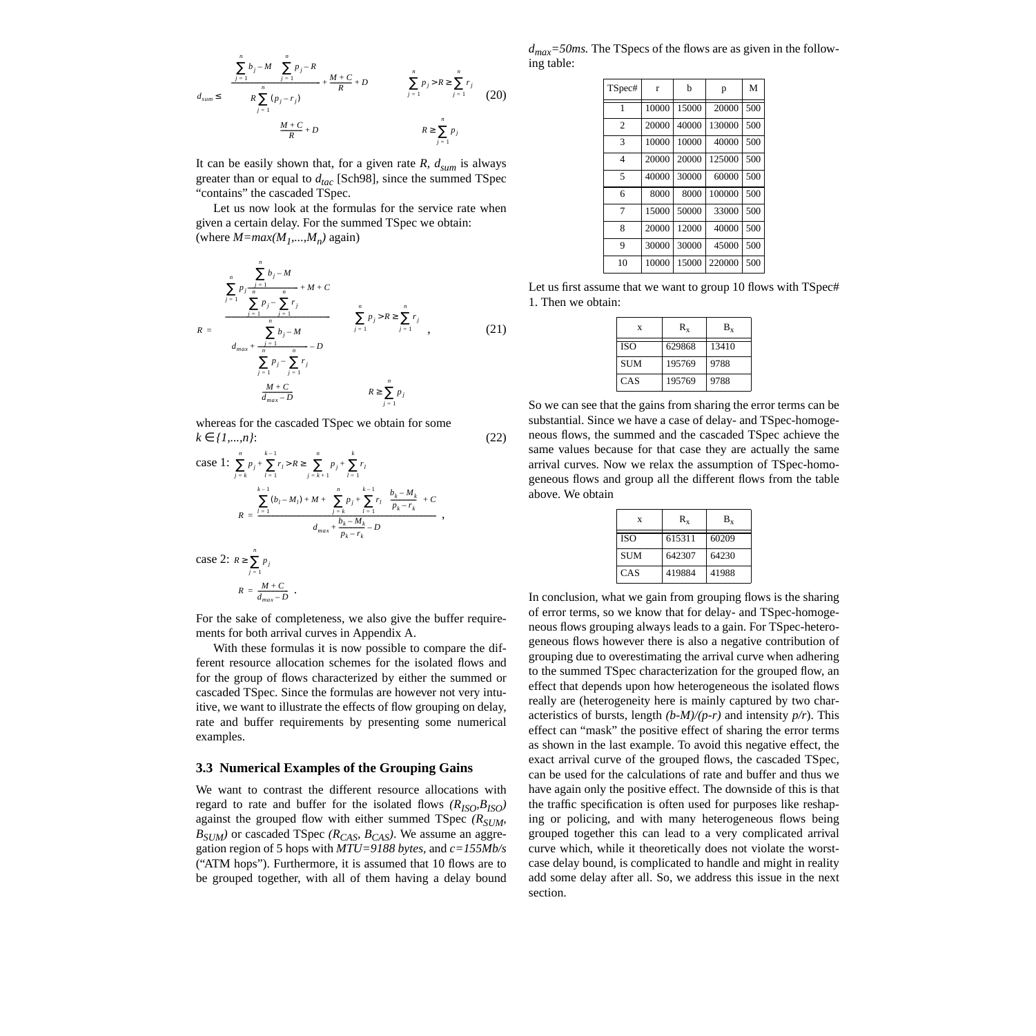<span id="page-4-0"></span>
$$
d_{sum} \leq \frac{\left(\sum_{j=1}^{n} b_{j} - M\right)\left(\sum_{j=1}^{n} p_{j} - R\right)}{\left(R\sum_{j=1}^{n} (p_{j} - r_{j})\right)} + \frac{M + C}{R} + D \qquad \sum_{j=1}^{n} p_{j} > R \geq \sum_{j=1}^{n} r_{j}
$$
(20)  

$$
\frac{M + C}{R} + D \qquad R \geq \sum_{j=1}^{n} p_{j}
$$

It can be easily shown that, for a given rate *R*,  $d_{sum}$  is always greater than or equal to  $d_{tac}$  [Sch98], since the summed TSpec "contains" the cascaded TSpec.

Let us now look at the formulas for the service rate when given a certain delay. For the summed TSpec we obtain: (where  $M = max(M_1,...,M_n)$  again)

$$
R = \begin{cases}\n\sum_{j=1}^{n} b_{j} - M \\
\sum_{j=1}^{n} p_{j} - \sum_{j=1}^{n} r_{j} \\
\frac{\sum_{j=1}^{n} p_{j} - \sum_{j=1}^{n} r_{j}}{n} \\
\frac{\sum_{j=1}^{n} b_{j} - M}{n} - D \\
\frac{\sum_{j=1}^{n} p_{j} - \sum_{j=1}^{n} r_{j}}{n} \\
\frac{M + C}{d_{max} - D}\n\end{cases}
$$
\n
$$
R \ge \sum_{j=1}^{n} p_{j}
$$
\n
$$
R \ge \sum_{j=1}^{n} p_{j}
$$
\n
$$
R \ge \sum_{j=1}^{n} p_{j}
$$
\n
$$
P_{j} = 1
$$
\n
$$
(21)
$$

whereas for the cascaded TSpec we obtain for some  $k \in \{1,...,n\}$ : (22)

case 1: 
$$
\sum_{j=k}^{n} p_j + \sum_{l=1}^{k-1} r_l > R \ge \sum_{j=k+1}^{n} p_j + \sum_{l=1}^{k} r_l
$$
\n
$$
R = \frac{\sum_{l=1}^{k-1} (b_l - M_l) + M + \left(\sum_{j=k}^{n} p_j + \sum_{l=1}^{k-1} r_l\right) \left(\frac{b_k - M_k}{p_k - r_k}\right) + C}{d_{max} + \frac{b_k - M_k}{p_k - r_k} - D}
$$
\n
$$
R = \frac{M + C}{d_{max} - D}.
$$

For the sake of completeness, we also give the buffer requirements for both arrival curves in Appendix A.

With these formulas it is now possible to compare the different resource allocation schemes for the isolated flows and for the group of flows characterized by either the summed or cascaded TSpec. Since the formulas are however not very intuitive, we want to illustrate the effects of flow grouping on delay, rate and buffer requirements by presenting some numerical examples.

#### **3.3 Numerical Examples of the Grouping Gains**

We want to contrast the different resource allocations with regard to rate and buffer for the isolated flows  $(R_{ISO}, B_{ISO})$ against the grouped flow with either summed TSpec *(R<sub>SUM</sub>*,  $B_{SUM}$ ) or cascaded TSpec *(R<sub>CAS</sub>, B<sub>CAS</sub>)*. We assume an aggregation region of 5 hops with *MTU=9188 bytes,* and *c=155Mb/s* ("ATM hops"). Furthermore, it is assumed that 10 flows are to be grouped together, with all of them having a delay bound

 $d_{max} = 50$ ms. The TSpecs of the flows are as given in the following table:

| TSpec#         | r     | h     | p      | M   |
|----------------|-------|-------|--------|-----|
| 1              | 10000 | 15000 | 20000  | 500 |
| $\overline{2}$ | 20000 | 40000 | 130000 | 500 |
| 3              | 10000 | 10000 | 40000  | 500 |
| $\overline{4}$ | 20000 | 20000 | 125000 | 500 |
| 5              | 40000 | 30000 | 60000  | 500 |
| 6              | 8000  | 8000  | 100000 | 500 |
| 7              | 15000 | 50000 | 33000  | 500 |
| 8              | 20000 | 12000 | 40000  | 500 |
| 9              | 30000 | 30000 | 45000  | 500 |
| 10             | 10000 | 15000 | 220000 | 500 |

Let us first assume that we want to group 10 flows with TSpec# 1. Then we obtain:

| x          | $R_{\rm v}$ | $B_{x}$ |
|------------|-------------|---------|
| ISO        | 629868      | 13410   |
| <b>SUM</b> | 195769      | 9788    |
| CAS        | 195769      | 9788    |

So we can see that the gains from sharing the error terms can be substantial. Since we have a case of delay- and TSpec-homogeneous flows, the summed and the cascaded TSpec achieve the same values because for that case they are actually the same arrival curves. Now we relax the assumption of TSpec-homogeneous flows and group all the different flows from the table above. We obtain

| x          | R.     | $B_{v}$ |
|------------|--------|---------|
| ISO        | 615311 | 60209   |
| <b>SUM</b> | 642307 | 64230   |
| CAS        | 419884 | 41988   |

In conclusion, what we gain from grouping flows is the sharing of error terms, so we know that for delay- and TSpec-homogeneous flows grouping always leads to a gain. For TSpec-heterogeneous flows however there is also a negative contribution of grouping due to overestimating the arrival curve when adhering to the summed TSpec characterization for the grouped flow, an effect that depends upon how heterogeneous the isolated flows really are (heterogeneity here is mainly captured by two characteristics of bursts, length *(b-M)/(p-r)* and intensity *p/r*). This effect can "mask" the positive effect of sharing the error terms as shown in the last example. To avoid this negative effect, the exact arrival curve of the grouped flows, the cascaded TSpec, can be used for the calculations of rate and buffer and thus we have again only the positive effect. The downside of this is that the traffic specification is often used for purposes like reshaping or policing, and with many heterogeneous flows being grouped together this can lead to a very complicated arrival curve which, while it theoretically does not violate the worstcase delay bound, is complicated to handle and might in reality add some delay after all. So, we address this issue in the next section.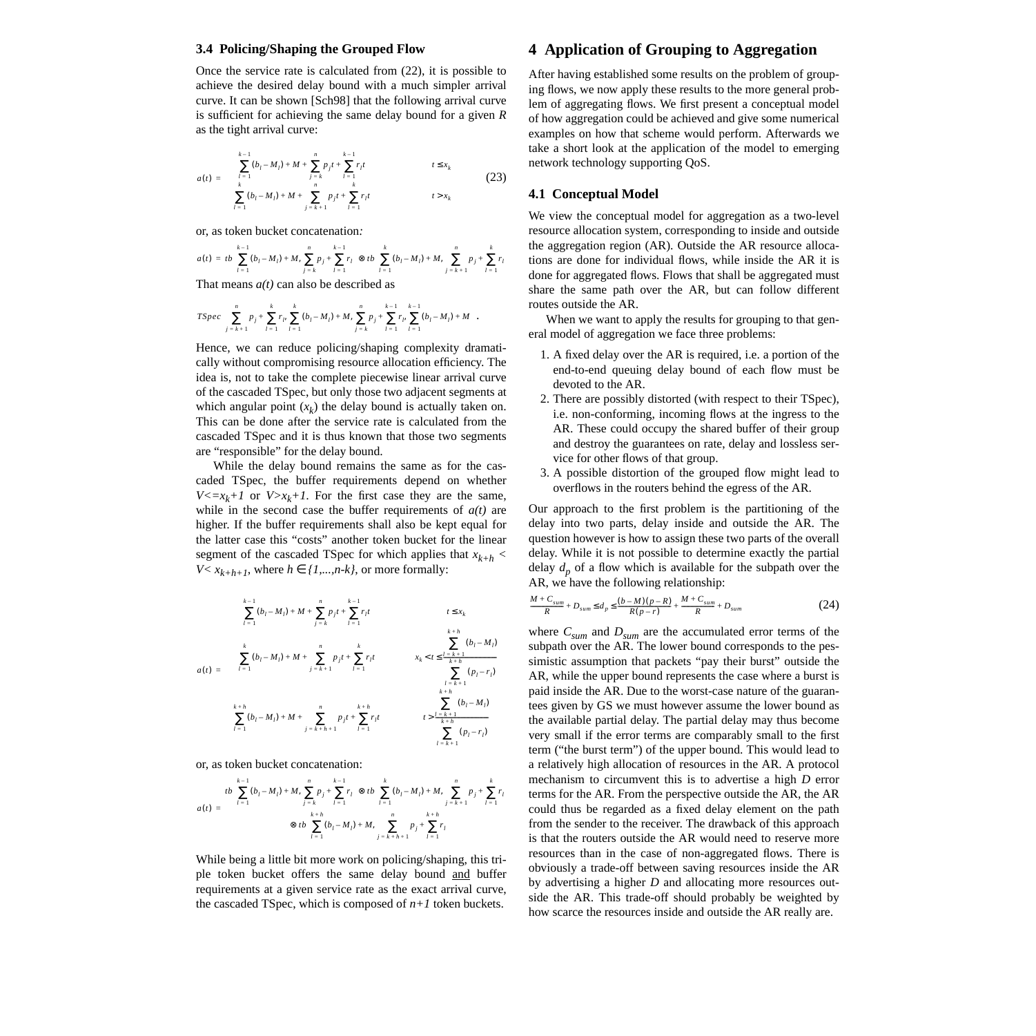#### <span id="page-5-0"></span>**3.4 Policing/Shaping the Grouped Flow**

Once the service rate is calculated from [\(22\)](#page-4-0), it is possible to achieve the desired delay bound with a much simpler arrival curve. It can be shown [Sch98] that the following arrival curve is sufficient for achieving the same delay bound for a given *R* as the tight arrival curve:

$$
a(t) = \begin{cases} \sum_{l=1}^{k-1} (b_l - M_l) + M + \sum_{j=k}^{n} p_j t + \sum_{l=1}^{k-1} r_l t & t \leq x_k \\ \sum_{l=1}^{k} (b_l - M_l) + M + \sum_{j=k+1}^{n} p_j t + \sum_{l=1}^{k} r_l t & t > x_k \end{cases}
$$
(23)

or, as token bucket concatenation*:*

$$
a(t) = tb \left( \sum_{l=1}^{k-1} (b_l - M_l) + M, \sum_{j=k}^{n} p_j + \sum_{l=1}^{k-1} r_l \right) \otimes tb \left( \sum_{l=1}^{k} (b_l - M_l) + M, \sum_{j=k+1}^{n} p_j + \sum_{l=1}^{k} r_l \right)
$$

That means *a(t)* can also be described as

$$
TSpec\left(\sum_{j=k+1}^{n}p_j+\sum_{l=1}^{k}r_l,\sum_{l=1}^{k}(b_l-M_l)+M,\sum_{j=k}^{n}p_j+\sum_{l=1}^{k-1}r_l,\sum_{l=1}^{k-1}(b_l-M_l)+M\right).
$$

Hence, we can reduce policing/shaping complexity dramatically without compromising resource allocation efficiency. The idea is, not to take the complete piecewise linear arrival curve of the cascaded TSpec, but only those two adjacent segments at which angular point  $(x_k)$  the delay bound is actually taken on. This can be done after the service rate is calculated from the cascaded TSpec and it is thus known that those two segments are "responsible" for the delay bound.

While the delay bound remains the same as for the cascaded TSpec, the buffer requirements depend on whether  $V \le x_k + 1$  or  $V > x_k + 1$ . For the first case they are the same, while in the second case the buffer requirements of *a(t)* are higher. If the buffer requirements shall also be kept equal for the latter case this "costs" another token bucket for the linear segment of the cascaded TSpec for which applies that  $x_{k+h}$  $V < x_{k+h+1}$ , where  $h \in \{1,...,n-k\}$ , or more formally:

*a t*( ) *bl Ml* ( ) – *l* = 1 *k* – 1 ∑ *M p jt rlt l* = 1 *k* – 1 <sup>+</sup> ∑ *j k* = *n* + + ∑ *t x* <sup>≤</sup> *<sup>k</sup> bl Ml* ( ) – *l* = 1 *k* ∑ *M p jt rlt l* = 1 *k* <sup>+</sup> ∑ *j k* = + 1 *n* + + ∑ *xk <sup>t</sup> bl Ml* ( ) – *l k* = + 1 *k h* + ∑ *pl rl* ( ) – *l k* = + 1 *k h* + ∑ < ≤ ------------------------------------ *bl Ml* ( ) – *l* = 1 *k h* + ∑ *M p jt rlt l* = 1 *k h* + <sup>+</sup> ∑ *j kh* = + + 1 *n* + + ∑ *<sup>t</sup> bl Ml* ( ) – *l k* = + 1 *k h* + ∑ *pl rl* ( ) – *l k* = + 1 *k h* + ∑ > ------------------------------------- =

or, as token bucket concatenation:

$$
a(t) = \sum_{l=1}^{k-1} (b_l - M_l) + M, \sum_{j=k}^{n} p_j + \sum_{l=1}^{k-1} r_l \bigg) \otimes t b \bigg( \sum_{l=1}^{k} (b_l - M_l) + M, \sum_{j=k+1}^{n} p_j + \sum_{l=1}^{k} r_l \bigg)
$$

$$
\otimes t b \bigg( \sum_{l=1}^{k+h} (b_l - M_l) + M, \sum_{j=k+h+1}^{n} p_j + \sum_{l=1}^{k+h} r_l \bigg)
$$

While being a little bit more work on policing/shaping, this triple token bucket offers the same delay bound and buffer requirements at a given service rate as the exact arrival curve, the cascaded TSpec, which is composed of  $n+1$  token buckets.

## **4 Application of Grouping to Aggregation**

After having established some results on the problem of grouping flows, we now apply these results to the more general problem of aggregating flows. We first present a conceptual model of how aggregation could be achieved and give some numerical examples on how that scheme would perform. Afterwards we take a short look at the application of the model to emerging network technology supporting QoS.

#### **4.1 Conceptual Model**

We view the conceptual model for aggregation as a two-level resource allocation system, corresponding to inside and outside the aggregation region (AR). Outside the AR resource allocations are done for individual flows, while inside the AR it is done for aggregated flows. Flows that shall be aggregated must share the same path over the AR, but can follow different routes outside the AR.

When we want to apply the results for grouping to that general model of aggregation we face three problems:

- 1. A fixed delay over the AR is required, i.e. a portion of the end-to-end queuing delay bound of each flow must be devoted to the AR.
- 2. There are possibly distorted (with respect to their TSpec), i.e. non-conforming, incoming flows at the ingress to the AR. These could occupy the shared buffer of their group and destroy the guarantees on rate, delay and lossless service for other flows of that group.
- 3. A possible distortion of the grouped flow might lead to overflows in the routers behind the egress of the AR.

Our approach to the first problem is the partitioning of the delay into two parts, delay inside and outside the AR. The question however is how to assign these two parts of the overall delay. While it is not possible to determine exactly the partial delay  $d_p$  of a flow which is available for the subpath over the AR, we have the following relationship:

$$
\frac{M + C_{sum}}{R} + D_{sum} \le d_p \le \frac{(b - M)(p - R)}{R(p - r)} + \frac{M + C_{sum}}{R} + D_{sum}
$$
 (24)

where  $C_{sum}$  and  $D_{sum}$  are the accumulated error terms of the subpath over the AR. The lower bound corresponds to the pessimistic assumption that packets "pay their burst" outside the AR, while the upper bound represents the case where a burst is paid inside the AR. Due to the worst-case nature of the guarantees given by GS we must however assume the lower bound as the available partial delay. The partial delay may thus become very small if the error terms are comparably small to the first term ("the burst term") of the upper bound. This would lead to a relatively high allocation of resources in the AR. A protocol mechanism to circumvent this is to advertise a high *D* error terms for the AR. From the perspective outside the AR, the AR could thus be regarded as a fixed delay element on the path from the sender to the receiver. The drawback of this approach is that the routers outside the AR would need to reserve more resources than in the case of non-aggregated flows. There is obviously a trade-off between saving resources inside the AR by advertising a higher *D* and allocating more resources outside the AR. This trade-off should probably be weighted by how scarce the resources inside and outside the AR really are.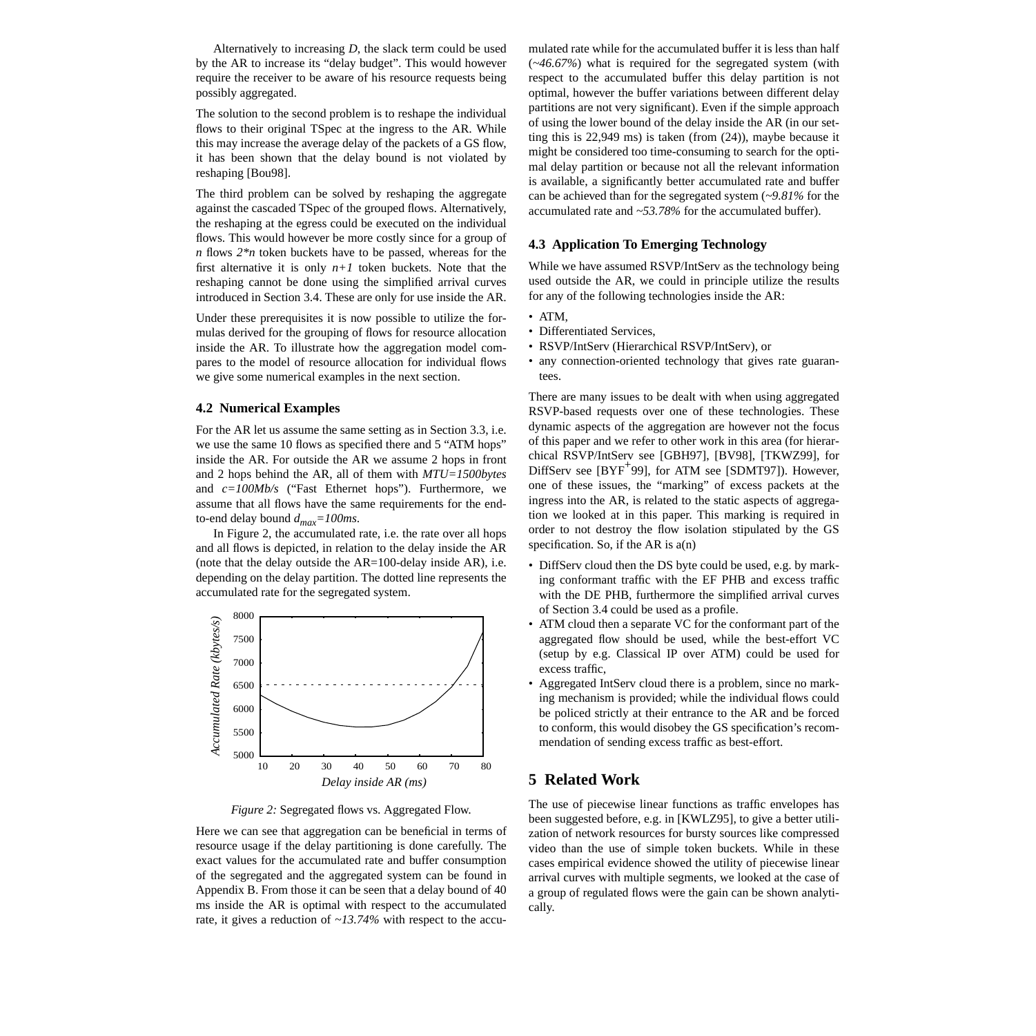Alternatively to increasing *D*, the slack term could be used by the AR to increase its "delay budget". This would however require the receiver to be aware of his resource requests being possibly aggregated.

The solution to the second problem is to reshape the individual flows to their original TSpec at the ingress to the AR. While this may increase the average delay of the packets of a GS flow, it has been shown that the delay bound is not violated by reshaping [Bou98].

The third problem can be solved by reshaping the aggregate against the cascaded TSpec of the grouped flows. Alternatively, the reshaping at the egress could be executed on the individual flows. This would however be more costly since for a group of *n* flows *2\*n* token buckets have to be passed, whereas for the first alternative it is only  $n+1$  token buckets. Note that the reshaping cannot be done using the simplified arrival curves introduced in [Section 3.4](#page-5-0). These are only for use inside the AR.

Under these prerequisites it is now possible to utilize the formulas derived for the grouping of flows for resource allocation inside the AR. To illustrate how the aggregation model compares to the model of resource allocation for individual flows we give some numerical examples in the next section.

#### **4.2 Numerical Examples**

For the AR let us assume the same setting as in [Section 3.3,](#page-4-0) i.e. we use the same 10 flows as specified there and 5 "ATM hops" inside the AR. For outside the AR we assume 2 hops in front and 2 hops behind the AR, all of them with *MTU=1500bytes* and *c=100Mb/s* ("Fast Ethernet hops"). Furthermore, we assume that all flows have the same requirements for the endto-end delay bound *dmax=100ms*.

In Figure 2, the accumulated rate, i.e. the rate over all hops and all flows is depicted, in relation to the delay inside the AR (note that the delay outside the AR=100-delay inside AR), i.e. depending on the delay partition. The dotted line represents the accumulated rate for the segregated system.



*Figure 2:* Segregated flows vs. Aggregated Flow.

Here we can see that aggregation can be beneficial in terms of resource usage if the delay partitioning is done carefully. The exact values for the accumulated rate and buffer consumption of the segregated and the aggregated system can be found in Appendix B. From those it can be seen that a delay bound of 40 ms inside the AR is optimal with respect to the accumulated rate, it gives a reduction of *~13.74%* with respect to the accumulated rate while for the accumulated buffer it is less than half (*~46.67%*) what is required for the segregated system (with respect to the accumulated buffer this delay partition is not optimal, however the buffer variations between different delay partitions are not very significant). Even if the simple approach of using the lower bound of the delay inside the AR (in our setting this is 22,949 ms) is taken (from [\(24\)\)](#page-5-0), maybe because it might be considered too time-consuming to search for the optimal delay partition or because not all the relevant information is available, a significantly better accumulated rate and buffer can be achieved than for the segregated system (*~9.81%* for the accumulated rate and *~53.78%* for the accumulated buffer).

#### **4.3 Application To Emerging Technology**

While we have assumed RSVP/IntServ as the technology being used outside the AR, we could in principle utilize the results for any of the following technologies inside the AR:

- ATM,
- Differentiated Services,
- RSVP/IntServ (Hierarchical RSVP/IntServ), or
- any connection-oriented technology that gives rate guarantees.

There are many issues to be dealt with when using aggregated RSVP-based requests over one of these technologies. These dynamic aspects of the aggregation are however not the focus of this paper and we refer to other work in this area (for hierarchical RSVP/IntServ see [GBH97], [BV98], [TKWZ99], for DiffServ see  $[BYF^+99]$ , for ATM see  $[SDMT97]$ ). However, one of these issues, the "marking" of excess packets at the ingress into the AR, is related to the static aspects of aggregation we looked at in this paper. This marking is required in order to not destroy the flow isolation stipulated by the GS specification. So, if the AR is  $a(n)$ 

- DiffServ cloud then the DS byte could be used, e.g. by marking conformant traffic with the EF PHB and excess traffic with the DE PHB, furthermore the simplified arrival curves of [Section 3.4](#page-5-0) could be used as a profile.
- ATM cloud then a separate VC for the conformant part of the aggregated flow should be used, while the best-effort VC (setup by e.g. Classical IP over ATM) could be used for excess traffic,
- Aggregated IntServ cloud there is a problem, since no marking mechanism is provided; while the individual flows could be policed strictly at their entrance to the AR and be forced to conform, this would disobey the GS specification's recommendation of sending excess traffic as best-effort.

## **5 Related Work**

The use of piecewise linear functions as traffic envelopes has been suggested before, e.g. in [KWLZ95], to give a better utilization of network resources for bursty sources like compressed video than the use of simple token buckets. While in these cases empirical evidence showed the utility of piecewise linear arrival curves with multiple segments, we looked at the case of a group of regulated flows were the gain can be shown analytically.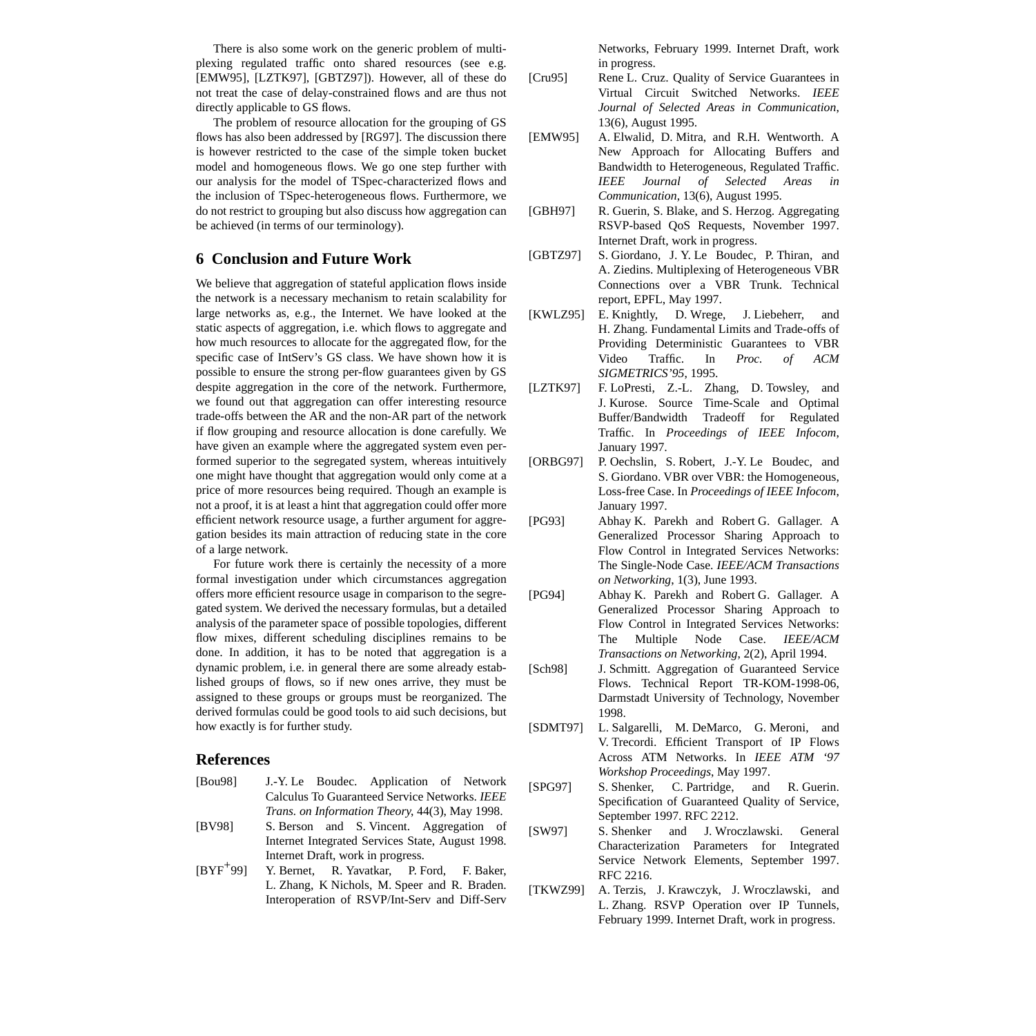There is also some work on the generic problem of multiplexing regulated traffic onto shared resources (see e.g. [EMW95], [LZTK97], [GBTZ97]). However, all of these do not treat the case of delay-constrained flows and are thus not directly applicable to GS flows.

The problem of resource allocation for the grouping of GS flows has also been addressed by [RG97]. The discussion there is however restricted to the case of the simple token bucket model and homogeneous flows. We go one step further with our analysis for the model of TSpec-characterized flows and the inclusion of TSpec-heterogeneous flows. Furthermore, we do not restrict to grouping but also discuss how aggregation can be achieved (in terms of our terminology).

# **6 Conclusion and Future Work**

We believe that aggregation of stateful application flows inside the network is a necessary mechanism to retain scalability for large networks as, e.g., the Internet. We have looked at the static aspects of aggregation, i.e. which flows to aggregate and how much resources to allocate for the aggregated flow, for the specific case of IntServ's GS class. We have shown how it is possible to ensure the strong per-flow guarantees given by GS despite aggregation in the core of the network. Furthermore, we found out that aggregation can offer interesting resource trade-offs between the AR and the non-AR part of the network if flow grouping and resource allocation is done carefully. We have given an example where the aggregated system even performed superior to the segregated system, whereas intuitively one might have thought that aggregation would only come at a price of more resources being required. Though an example is not a proof, it is at least a hint that aggregation could offer more efficient network resource usage, a further argument for aggregation besides its main attraction of reducing state in the core of a large network.

For future work there is certainly the necessity of a more formal investigation under which circumstances aggregation offers more efficient resource usage in comparison to the segregated system. We derived the necessary formulas, but a detailed analysis of the parameter space of possible topologies, different flow mixes, different scheduling disciplines remains to be done. In addition, it has to be noted that aggregation is a dynamic problem, i.e. in general there are some already established groups of flows, so if new ones arrive, they must be assigned to these groups or groups must be reorganized. The derived formulas could be good tools to aid such decisions, but how exactly is for further study.

## **References**

- [Bou98] J.-Y. Le Boudec. Application of Network Calculus To Guaranteed Service Networks. *IEEE Trans. on Information Theory*, 44(3), May 1998.
- [BV98] S. Berson and S. Vincent. Aggregation of Internet Integrated Services State, August 1998. Internet Draft, work in progress.
- [BYF+99] Y. Bernet, R. Yavatkar, P. Ford, F. Baker, L. Zhang, K Nichols, M. Speer and R. Braden. Interoperation of RSVP/Int-Serv and Diff-Serv

Networks, February 1999. Internet Draft, work in progress.

- [Cru95] Rene L. Cruz. Quality of Service Guarantees in Virtual Circuit Switched Networks. *IEEE Journal of Selected Areas in Communication*, 13(6), August 1995.
- [EMW95] A. Elwalid, D. Mitra, and R.H. Wentworth. A New Approach for Allocating Buffers and Bandwidth to Heterogeneous, Regulated Traffic. *IEEE Journal of Selected Areas in Communication*, 13(6), August 1995.
- [GBH97] R. Guerin, S. Blake, and S. Herzog. Aggregating RSVP-based QoS Requests, November 1997. Internet Draft, work in progress.
- [GBTZ97] S. Giordano, J. Y. Le Boudec, P. Thiran, and A. Ziedins. Multiplexing of Heterogeneous VBR Connections over a VBR Trunk. Technical report, EPFL, May 1997.
- [KWLZ95] E. Knightly, D. Wrege, J. Liebeherr, and H. Zhang. Fundamental Limits and Trade-offs of Providing Deterministic Guarantees to VBR Video Traffic. In *Proc. of ACM SIGMETRICS'95*, 1995.
- [LZTK97] F. LoPresti, Z.-L. Zhang, D. Towsley, and J. Kurose. Source Time-Scale and Optimal Buffer/Bandwidth Tradeoff for Regulated Traffic. In *Proceedings of IEEE Infocom*, January 1997.
- [ORBG97] P. Oechslin, S. Robert, J.-Y. Le Boudec, and S. Giordano. VBR over VBR: the Homogeneous, Loss-free Case. In *Proceedings of IEEE Infocom*, January 1997.
- [PG93] Abhay K. Parekh and Robert G. Gallager. A Generalized Processor Sharing Approach to Flow Control in Integrated Services Networks: The Single-Node Case. *IEEE/ACM Transactions on Networking*, 1(3), June 1993.
- [PG94] Abhay K. Parekh and Robert G. Gallager. A Generalized Processor Sharing Approach to Flow Control in Integrated Services Networks: The Multiple Node Case. *IEEE/ACM Transactions on Networking*, 2(2), April 1994.
- [Sch98] J. Schmitt. Aggregation of Guaranteed Service Flows. Technical Report TR-KOM-1998-06, Darmstadt University of Technology, November 1998.
- [SDMT97] L. Salgarelli, M. DeMarco, G. Meroni, and V. Trecordi. Efficient Transport of IP Flows Across ATM Networks. In *IEEE ATM '97 Workshop Proceedings*, May 1997.
- [SPG97] S. Shenker, C. Partridge, and R. Guerin. Specification of Guaranteed Quality of Service, September 1997. RFC 2212.
- [SW97] S. Shenker and J. Wroczlawski. General Characterization Parameters for Integrated Service Network Elements, September 1997. RFC 2216.
- [TKWZ99] A. Terzis, J. Krawczyk, J. Wroczlawski, and L. Zhang. RSVP Operation over IP Tunnels, February 1999. Internet Draft, work in progress.